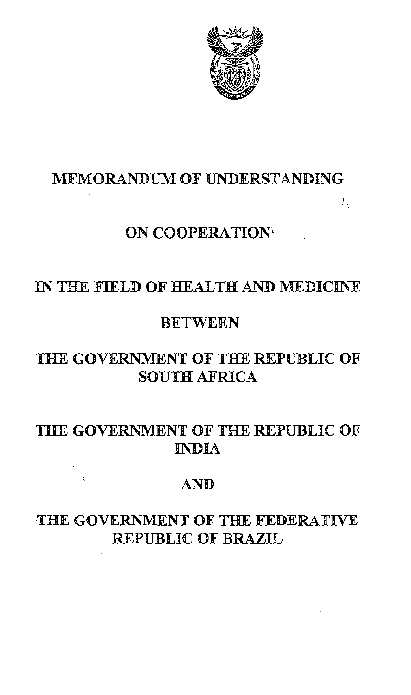

Ł,

# MEMORANDUM OF UNDERSTANDING

# ON COOPERATION'

# IN THE FIELD OF HEALTH AND MEDICINE

## **BETWEEN**

# THE GOVERNMENT OF THE REPUBLIC OF SOUTH AFRICA

# THE GOVERNMENT OF THE REPUBLIC OF INDIA

# AND

# THE GOVERNMENT OF THE FEDERATIVE REPUBLIC OF BRAZIL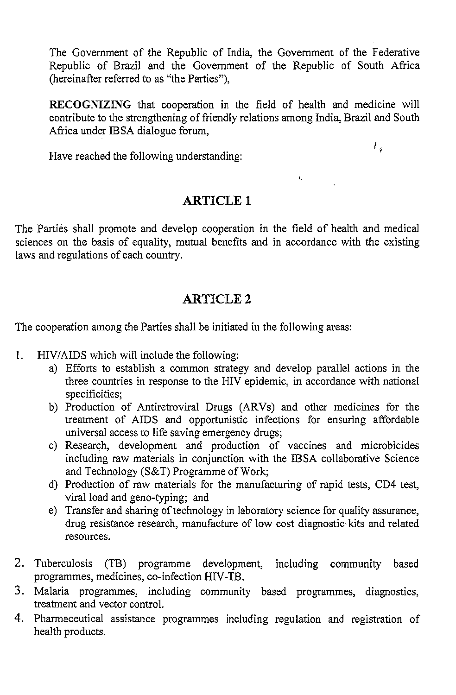The Government of the Republic of India, the Government of the Federative Republic of Brazil and the Government of the Republic of South Africa (hereinafter referred to as "the Parties"),

RECOGNIZING that cooperation in the field of health and medicine will contribute to the strengthening of friendly relations among India, Brazil and South Africa under IBSA dialogue forum,

à.

Have reached the following understanding:

### ARTICLE 1

The Parties shall promote and develop cooperation in the field of health and medical sciences on the basis of equality, mutual benefits and in accordance with the existing laws and regulations of each country.

### ARTICLE 2

The cooperation among the Parties shall be initiated in the following areas:

- I. HIV/AIDS which will include the following:
	- a) Efforts to establish a common strategy and develop parallel actions in the three countries in response to the HIV epidemic, in accordance with national specificities;
	- b) Production of Antiretroviral Drugs (ARVs) and other medicines for the treatment of AIDS and opportunistic infections for ensuring affordable universal access to life saving emergency drugs;
	- c) Research, development and production of vaccines and microbicides including raw materials in conjunction with the IBSA collaborative Science and Technology (S&T) Programme of Work;
	- d) Production of raw materials for the manufacturing of rapid tests, CD4 test, viral load and geno-typing; and
	- e) Transfer and sharing of technology in laboratory science for quality assurance, drug resistance research, manufacture of low cost diagnostic kits and related resources.
- 2. Tuberculosis (TB) programme development, including community based programmes, medicines, co-infection HIV-TB.
- 3. Malaria programmes, including community based programmes, diagnostics, treatment and vector control.
- 4. Pharmaceutical assistance programmes including regulation and registration of health products.

ŧ.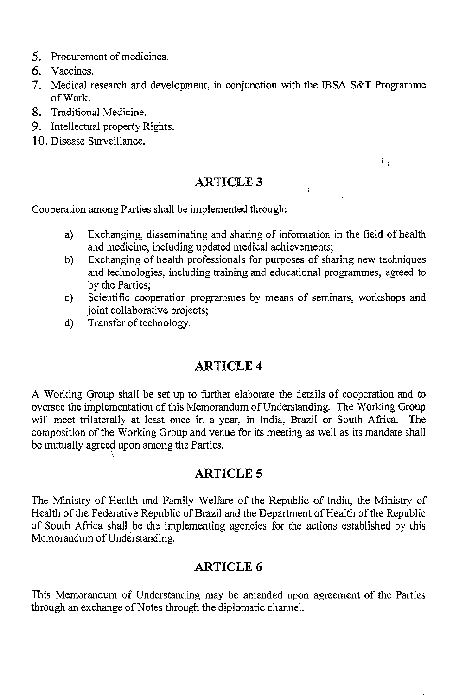- 5. Procurement of medicines.
- 6. Vaccines.
- 7. Medical research and development, in conjunction with the IBSA S&T Programme ofWork.
- 8. Traditional Medicine.
- 9. Intellectual property Rights.
- 10. Disease Surveillance.

#### ARTICLE 3

 $L_{\rm g}$ 

Cooperation among Parties shall be implemented through:

a) Exchanging, disseminating and sharing of information in the field of health and medicine, including updated medical achievements;

 $\mathbf{t}$ 

- b) Exchanging of health professionals for purposes of sharing new techniques and technologies, including training and educational programmes, agreed to by the Parties;
- c) Scientific cooperation programmes by means of seminars, workshops and joint collaborative projects:
- d) Transfer of technology.

### ARTICLE 4

A Working Group shall be set up to further elaborate the details of cooperation and to oversee the implementation of this Memorandum of Understanding. The Working Group will meet trilaterally at least once in a year, in India, Brazil or South Africa. The composition of the Working Group and venue for its meeting as well as its mandate shall be mutually agreed upon among the Parties.

#### **ARTICLE 5**

The Ministry of Health and Family Welfare of the Republic of India, the Ministry of Health of the Federative Republic of Brazil and the Department of Health of the Republic of South Africa shall be the implementing agencies for the actions established by this Memorandum of Understanding.

### ARTICLE 6

This Memorandum of Understanding may be amended upon agreement of the Parties through an exchange of Notes through the diplomatic channel.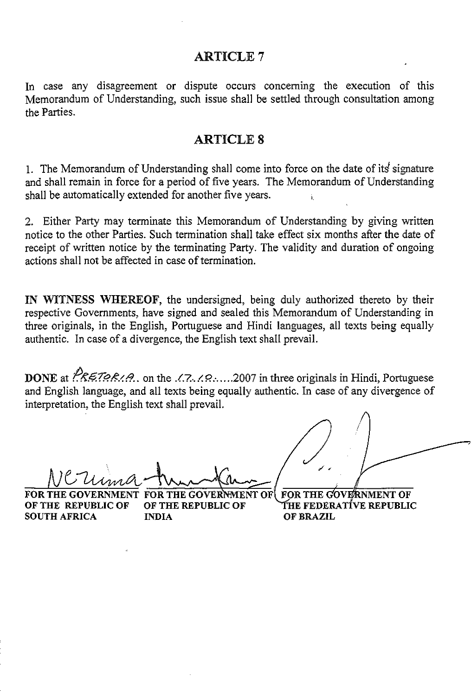#### ARTICLE 7

In case any disagreement or dispute occurs concerning the execution of this Memorandum of Understanding, such issue shall be settled through consultation among the Parties.

#### ARTICLE 8

1. The Memorandum of Understanding shall come into force on the date of its signature and shall remain in force for a period of five years. The Memorandum of Understanding shall be automatically extended for another five years.

2. Either Party may terminate this Memorandum of Understanding by giving written notice to the other Parties. Such termination shall take effect six months after the date of receipt of written notice by the terminating Party. The validity and duration of ongoing actions shall not be affected in case of termination.

IN WITNESS WHEREOF, the undersigned, being duly authorized thereto by their respective Governments, have signed and sealed this Memorandum of Understanding in three originals, in the English, Portuguese and Hindi languages, all texts being equally authentic. In case of a divergence, the English text shall prevail.

**DONE** at  $\sqrt{R\epsilon}$ 79R/*A*., on the *J.R.J.P.*.....2007 in three originals in Hindi, Portuguese and English language, and all texts being equally authentic. In case of any divergence of interpretation, the English text shall prevail.

Nerima-Amina

FOR THE OF THE REPUBLIC OF OF THE REPUBLIC OF<br>SOUTH AFRICA MDIA SOUTH AFRICA

GOVERNMENT FOR THE GOVERNMENT OF

**FOR THE COVERNMENT** THE FEDERATIVE REPUBLIC OF BRAZIL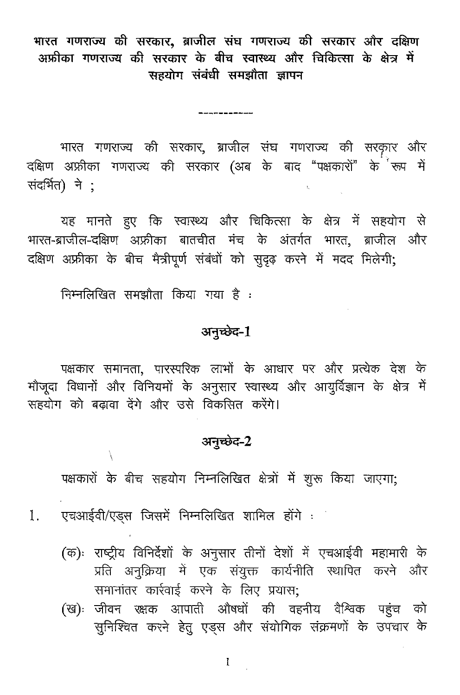भारत गणराज्य की सरकार, ब्राजील संघ गणराज्य की सरकार और दक्षिण अफ्रीका गणराज्य की सरकार के बीच स्वास्थ्य और चिकित्सा के क्षेत्र में सहयोग संबंधी समझौता ज्ञापन

-----------

भारत गणराज्य की सरकार, ब्राजील संघ गणराज्य की सरकार और दक्षिण अफ्रीका गणराज्य की सरकार (अब के बाद "पक्षकारों" के रूप में संदर्भित) ने:  $\mathbf{t}_i$ 

यह मानते हुए कि स्वास्थ्य और चिकित्सा के क्षेत्र में सहयोग से भारत-ब्राजील-दक्षिण अफ्रीका बातचीत मंच के अंतर्गत भारत, ब्राजील और दक्षिण अफ्रीका के बीच मैत्रीपूर्ण संबंधों को सुदृढ़ करने में मदद मिलेगी;

निम्नलिखित समझौता किया गया है:

# अनुच्छेद-1

पक्षकार समानता, पारस्परिक लाभों के आधार पर और प्रत्येक देश के मौजूदा विधानों और विनियमों के अनुसार स्वास्थ्य और आयुर्विज्ञान के क्षेत्र में सहयोग को बढ़ावा देंगे और उसे विकसित करेंगे।

# अनुच्छेद-2

पक्षकारों के बीच सहयोग निम्नलिखित क्षेत्रों में शुरू किया जाएगा;

एचआईवी/एड्स जिसमें निम्नलिखित शामिल होंगे :  $1.$ 

- (क): राष्ट्रीय विनिर्देशों के अनुसार तीनों देशों में एचआईवी महामारी के प्रति अनुक्रिया में एक संयुक्त कार्यनीति स्थापित करने और समानांतर कार्रवाई करने के लिए प्रयास;
- (ख): जीवन रक्षक आपाती औषधों की वहनीय वैश्विक पहुंच को सुनिश्चित करने हेतु एड्स और संयोगिक संक्रमणों के उपचार के

 $\mathbf{I}$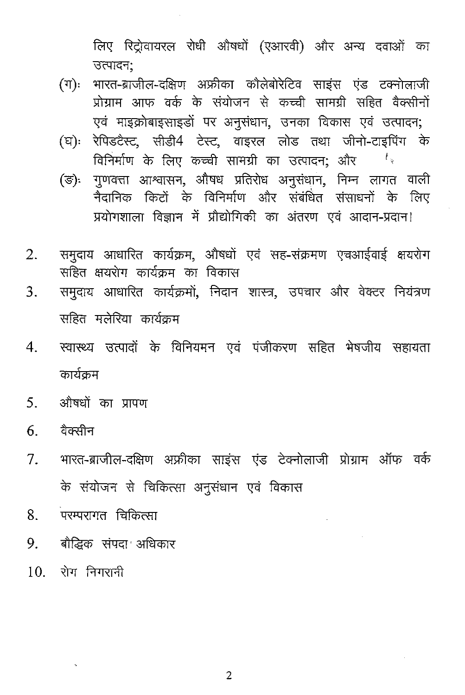लिए रिट्रोवायरल रोधी औषधों (एआरवी) और अन्य दवाओं का उत्पादन:

- भारत-ब्राजील-दक्षिण अफ्रीका कौलेबोरेटिव साइंस एंड टक्नोलाजी  $(\mathbb{T})$ : प्रोग्राम आफ वर्क के संयोजन से कच्ची सामग्री सहित वैक्सीनों एवं माइक्रोबाइसाइडों पर अनुसंधान, उनका विकास एवं उत्पादन;
- रेपिडटैस्ट, सीडी4 टेस्ट, वाइरल लोड तथा जीनो-टाइपिंग के (ঘ): विनिर्माण के लिए कच्ची सामग्री का उत्पादन; और  $t_{\rm w}$
- गुणवत्ता आश्वासन, औषध प्रतिरोध अनुसंधान, निम्न लागत वाली  $(\overline{\mathbb{S}})$ . नैदानिक किटों के विनिर्माण और संबंधित संसाधनों के लिए प्रयोगशाला विज्ञान में प्रौद्योगिकी का अंतरण एवं आदान-प्रदान!
- समुदाय आधारित कार्यक्रम, औषधों एवं सह-संक्रमण एचआईवाई क्षयरोग  $2.$ सहित क्षयरोग कार्यकम का विकास
- समुदाय आधारित कार्यक्रमों, निदान शास्त्र, उपचार और वेक्टर नियंत्रण 3. सहित मलेरिया कार्यक्रम
- स्वास्थ्य उत्पादों के विनियमन एवं पंजीकरण सहित भेषजीय सहायता  $\overline{4}$ . कार्यकम
- $5<sub>1</sub>$ औषधों का प्रापण
- $6<sup>1</sup>$ ਹੈਰਲੀਜ
- भारत-ब्राजील-दक्षिण अफ्रीका साइंस एंड टेक्नोलाजी प्रोग्राम ऑफ वर्क  $7<sub>1</sub>$ के संयोजन से चिकित्सा अनुसंधान एवं विकास
- .<br>परम्परागत चिकित्सा 8.
- $9<sub>1</sub>$ बौद्धिक संपदा अधिकार
- $10$  रोग निगरानी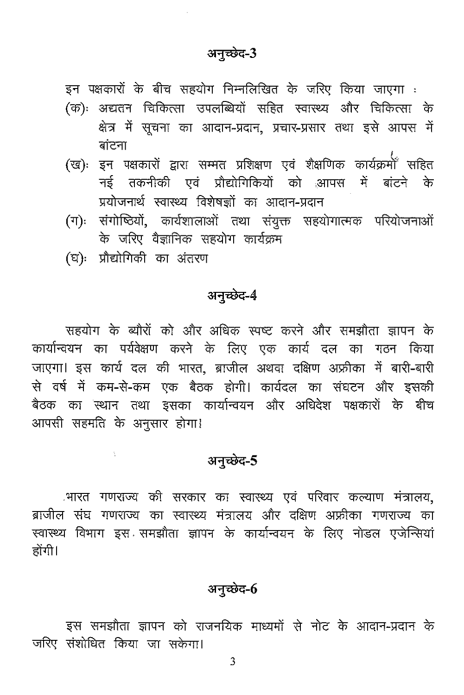### अनुच्छेद-3

इन पक्षकारों के बीच सहयोग निम्नलिखित के जरिए किया जाएगा :

- (क): अद्यतन चिकित्सा उपलब्धियों सहित स्वास्थ्य और चिकित्सा के क्षेत्र में सूचना का आदान-प्रदान, प्रचार-प्रसार तथा इसे आपस में बांटना
- (ख)ः इन पक्षकारों द्वारा सम्मत प्रशिक्षण एवं शैक्षणिक कार्यक्रमी<sup>ं</sup> सहित नई तकनीकी एवं प्रौद्योगिकियों को आपस में बांटने के प्रयोजनार्थ स्वास्थ्य विशेषज्ञों का आदान-प्रदान
- संगोष्ठियों, कार्यशालाओं तथा संयुक्त सहयोगात्मक परियोजनाओं  $(\exists \cdot)$ ः के जरिए वैज्ञानिक सहयोग कार्यक्रम
- (घ): प्रौद्योगिकी का अंतरण

 $\frac{1}{2}$ 

### अनुच्छेद-4

सहयोग के ब्यौरों को और अधिक स्पष्ट करने और समझौता ज्ञापन के कार्यान्वयन का पर्यवेक्षण करने के लिए एक कार्य दल का गठन किया जाएगा। इस कार्य दल की भारत, ब्राजील अथवा दक्षिण अफ्रीका में बारी-बारी से वर्ष में कम-से-कम एक बैठक होगी। कार्यदल का संघटन और इसकी बैठक का स्थान तथा इसका कार्यान्वयन और अधिदेश पक्षकारों के बीच आपसी सहमति के अनुसार होगा!

### अनुच्छेद-5

्भारत गणराज्य की सरकार का स्वास्थ्य एवं परिवार कल्याण मंत्रालय, ब्राजील संघ गणराज्य का स्वास्थ्य मंत्रालय और दक्षिण अफ्रीका गणराज्य का स्वास्थ्य विभाग इस समझौता ज्ञापन के कार्यान्वयन के लिए नोडल एजेन्सियां होंगी।

### अनुच्छेद-6

इस समझौता ज्ञापन को राजनयिक माध्यमों से नोट के आदान-प्रदान के जरिए संशोधित किया जा सकेगा।

3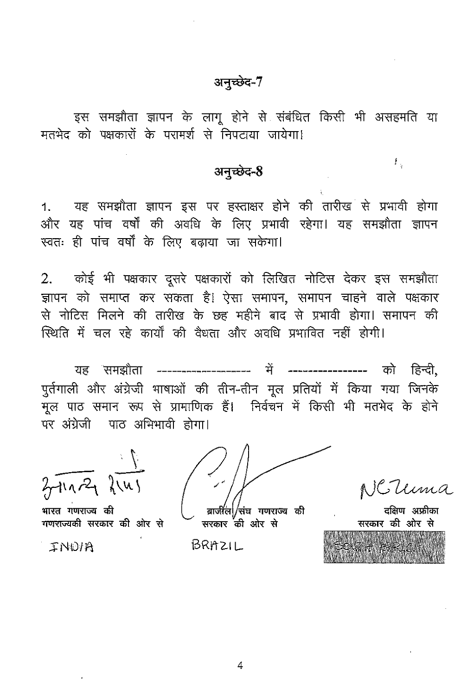## अनुच्छेद-7

इस समझौता ज्ञापन के लागू होने से संबंधित किसी भी असहमति या मतभेद को पक्षकारों के परामर्श से निपटाया जायेगा।

### अनुच्छेद-8

1. यह समझौता ज्ञापन इस पर हस्ताक्षर होने की तारीख से प्रभावी होगा और यह पांच वर्षों की अवधि के लिए प्रभावी रहेगा। यह समझौता ज्ञापन स्वतः ही पांच वर्षों के लिए बढ़ाया जा सकेगा।

2. कोई भी पक्षकार दुसरे पक्षकारों को लिखित नोटिस देकर इस समझौता ज्ञापन को समाप्त कर सकता है। ऐसा समापन, समापन चाहने वाले पक्षकार .<br>से नोटिस मिलने की तारीख के छह महीने बाद से प्रभावी होगा। समापन की स्थिति में चल रहे कार्यों की वैधता और अवधि प्रभावित नहीं होगी।

पुर्तगाली और अंग्रेजी भाषाओं की तीन-तीन मूल प्रतियों में किया गया जिनके .<br>मूल पाठ समान रूप से प्रामाणिक हैं। निर्वचन में किसी भी मतभेद के होने पर अंग्रेजी पाठ अभिभावी होगा।

 $3\pi\sqrt{2}$   $\sqrt[3]{143}$ 

भारत गणराज्य की गणराज्यकी सरकार की ओर से

INDIA

.<br>संघ गणराज्य की सरकार की ओर से

BRAZIL

ਤੂਬਿਸ਼ਾ - ਘਾਰੀਨ

£.

| सरकार की ओर से |  |  |  |
|----------------|--|--|--|
|                |  |  |  |
|                |  |  |  |
|                |  |  |  |

4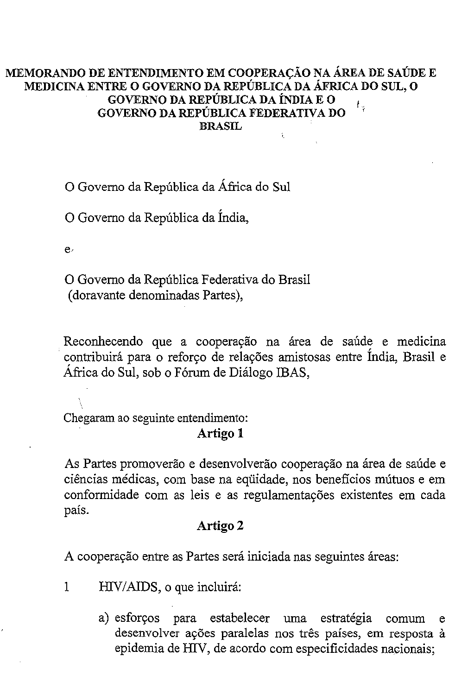#### MEMORANDO DE ENTENDIMENTO EM COOPERAÇÃO NA ÁREA DE SAÚDE E MEDICINA ENTRE 0 GOVERNO DA REPUBLICA DA AFRICA DO SUL, 0 GOVERNO DA REPUBLICA DA iNDIA E 0 ŧ., GOVERNO DA REPUBLICA FEDERATIVA DO BRASIL î.

o Govemo da Republica da Africa do Sui

o Govemo da Republica da India,

 $e<sub>1</sub>$ 

o Govemo da Republica Federativa do Brasil (doravante denominadas Partes),

Reconhecendo que a cooperação na área de saúde e medicina . contribuira para <sup>0</sup> reforyo de relayoes amistosas entre India, Brasil e Africa do Sui, sob <sup>0</sup> Forum de Dialogo !BAS,

Chegaram ao seguinte entendimento: Artigo 1

As Partes promoverão e desenvolverão cooperação na área de saúde e **ciencias medicas, com base na equidade, nos beneficios illumos e em** conformidade com as leis e as regulamentayoes existentes em cada pais.

#### Artigo 2

A cooperação entre as Partes será iniciada nas seguintes áreas:

I HIV/AIDS, <sup>0</sup> que incluira:

a) esforços para estabelecer uma estratégia comum e desenvolver ações paralelas nos três países, em resposta à epidemia de HIV, de acordo com especificidades nacionais;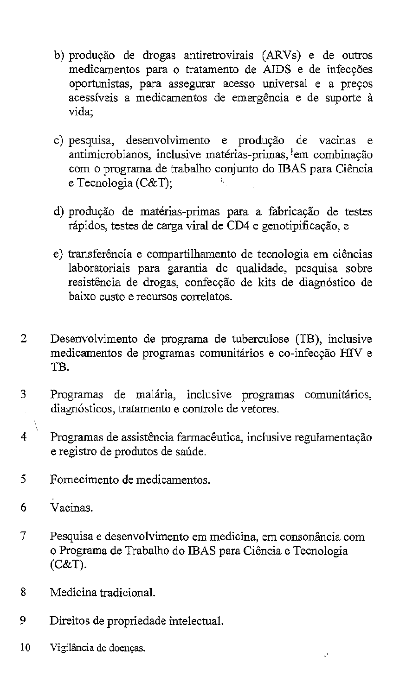- b) produção de drogas antiretrovirais (ARVs) e de outros medicamentos para o tratamento de AIDS e de infecções oportunistas, para assegurar acesso universal e a preços acessíveis a medicamentos de emergência e de suporte à **vida;**
- c) pesquisa, desenvolvimento e produção de vacinas e **antimicrobianos, inclusive mat6rias-primas, fern combina9ao** com 0 programa de trabalho conjunto do IBAS para Ciencia e Tecnologia (C&T); \,
- d) produção de matérias-primas para a fabricação de testes rápidos, testes de carga viral de CD4 e genotipificação, e
- e) transferência e compartilhamento de tecnologia em ciências laboratoriais para garantia de qualidade, pesquisa sobre resistência de drogas, confecção de kits de diagnóstico de **baixo custo e recursos correlates.**
- 2 Desenvolvimento de programa de tuberculose (TB), inclusive medicamentos de programas comunitários e co-infecção HIV e TR
- 3 Programas de malária, inclusive programas comunitários, diagnósticos, tratamento e controle de vetores.
- X 4 Programas de assistência farmacêutica, inclusive regulamentação e registro de produtos de saude,
- 5 Fomecimento de medicamentos.
- 6 Vacinas.
- **7 Pesquisa e desenvolvimento em medicina, em consonancia com** o Programa de Trabalho do IBAS para Ciencia e Tecnologia (C&T).
- 8 Medicina tradicional.
- 9 Direitos de propriedade intelectual.
- 10 Vigilância de doenças.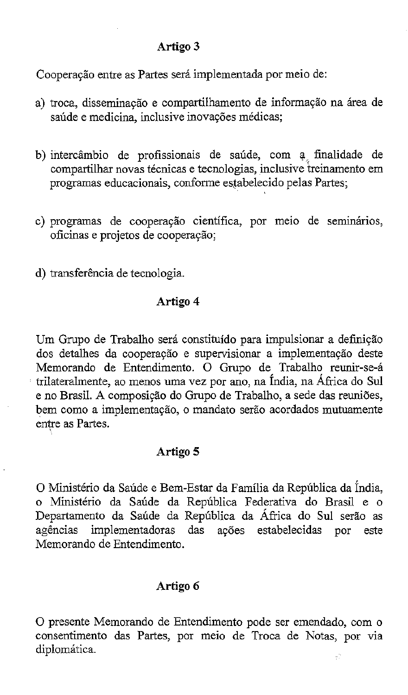### **Artigo 3**

Cooperação entre as Partes será implementada por meio de:

- a) troca, disseminação e compartilhamento de informação na área de  $s$ aúde e medicina, inclusive inovações médicas;
- b) intercâmbio de profissionais de saúde, com a finalidade de compartilhar novas técnicas e tecnologias, inclusive treinamento em programas educacionais, conforme estabelecido pelas Partes;
- c) programas de cooperação científica, por meio de seminários, oficinas e projetos de cooperação;
- d) transferência de tecnologia.

### **Artigo 4**

Um Grupo de Trabalho será constituído para impulsionar a definição dos detalhes da cooperação e supervisionar a implementação deste Memorando de Entendimento. 0 Grupo de Trabalho reunir-se-a trilateralmente, ao menos uma vez por ano, na Índia, na África do Sul e no Brasil. A composição do Grupo de Trabalho, a sede das reuniões, bem como a implementação, o mandato serão acordados mutuamente entre as Partes.

### **Artigo 5**

O Ministério da Saúde e Bem-Estar da Família da República da Índia, o Ministerio da Saude da Republica Federativa do Brasil e <sup>0</sup> Departamento da Saúde da República da África do Sul serão as agências implementadoras das ações estabelecidas por este Memorando de Entendimento.

## **Arrigo 6**

o presente Memorando de Entendimento pode ser emendado, com <sup>0</sup> consentimento das Partes, por meio de Troca de Notas, por via diplomática.